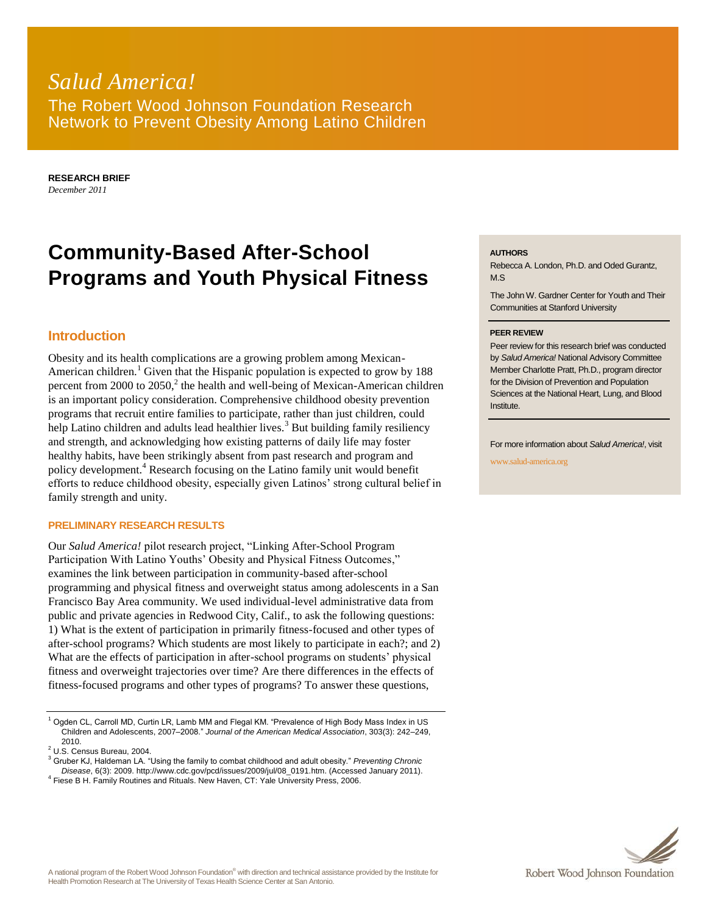## *Salud America!* The Robert Wood Johnson Foundation Research Network to Prevent Obesity Among Latino Children

**RESEARCH BRIEF** *December 2011*

# **Community-Based After-School Programs and Youth Physical Fitness**

## **Introduction**

Obesity and its health complications are a growing problem among Mexican-American children.<sup>1</sup> Given that the Hispanic population is expected to grow by 188 percent from 2000 to 2050, $^2$  the health and well-being of Mexican-American children is an important policy consideration. Comprehensive childhood obesity prevention programs that recruit entire families to participate, rather than just children, could help Latino children and adults lead healthier lives.<sup>3</sup> But building family resiliency and strength, and acknowledging how existing patterns of daily life may foster healthy habits, have been strikingly absent from past research and program and policy development.<sup>4</sup> Research focusing on the Latino family unit would benefit efforts to reduce childhood obesity, especially given Latinos' strong cultural belief in family strength and unity.

#### **PRELIMINARY RESEARCH RESULTS**

Our *Salud America!* pilot research project, "Linking After-School Program Participation With Latino Youths' Obesity and Physical Fitness Outcomes," examines the link between participation in community-based after-school programming and physical fitness and overweight status among adolescents in a San Francisco Bay Area community. We used individual-level administrative data from public and private agencies in Redwood City, Calif., to ask the following questions: 1) What is the extent of participation in primarily fitness-focused and other types of after-school programs? Which students are most likely to participate in each?; and 2) What are the effects of participation in after-school programs on students' physical fitness and overweight trajectories over time? Are there differences in the effects of fitness-focused programs and other types of programs? To answer these questions,

#### **AUTHORS**

Rebecca A. London, Ph.D. and Oded Gurantz, M.S

The John W. Gardner Center for Youth and Their Communities at Stanford University

#### **PEER REVIEW**

Peer review for this research brief was conducted by *Salud America!* National Advisory Committee Member Charlotte Pratt, Ph.D., program director for the Division of Prevention and Population Sciences at the National Heart, Lung, and Blood Institute.

For more information about *Salud America!*, visit

www.salud-america.org



<sup>1</sup> Ogden CL, Carroll MD, Curtin LR, Lamb MM and Flegal KM. "Prevalence of High Body Mass Index in US Children and Adolescents, 2007–2008." *Journal of the American Medical Association*, 303(3): 242–249, 2010.

<sup>2</sup> U.S. Census Bureau, 2004.

<sup>3</sup> Gruber KJ, Haldeman LA. "Using the family to combat childhood and adult obesity." *Preventing Chronic Disease*, 6(3): 2009. http://www.cdc.gov/pcd/issues/2009/jul/08\_0191.htm. (Accessed January 2011).

<sup>&</sup>lt;sup>4</sup> Fiese B H. Family Routines and Rituals. New Haven, CT: Yale University Press, 2006.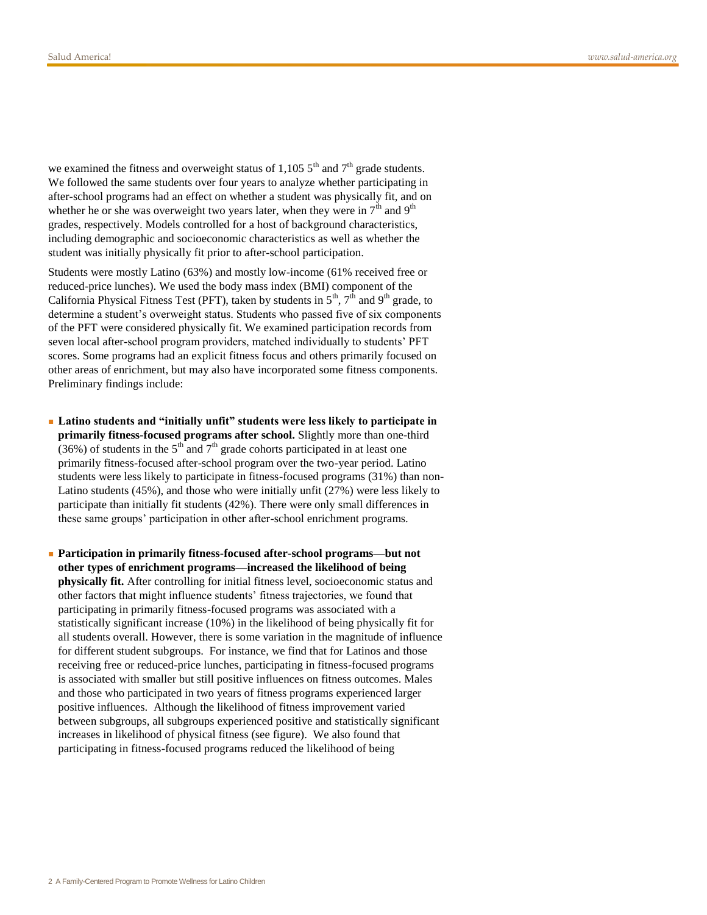we examined the fitness and overweight status of 1,105  $5<sup>th</sup>$  and  $7<sup>th</sup>$  grade students. We followed the same students over four years to analyze whether participating in after-school programs had an effect on whether a student was physically fit, and on whether he or she was overweight two years later, when they were in  $7<sup>th</sup>$  and  $9<sup>th</sup>$ grades, respectively. Models controlled for a host of background characteristics, including demographic and socioeconomic characteristics as well as whether the student was initially physically fit prior to after-school participation.

Students were mostly Latino (63%) and mostly low-income (61% received free or reduced-price lunches). We used the body mass index (BMI) component of the California Physical Fitness Test (PFT), taken by students in  $5<sup>th</sup>$ ,  $7<sup>th</sup>$  and  $9<sup>th</sup>$  grade, to determine a student's overweight status. Students who passed five of six components of the PFT were considered physically fit. We examined participation records from seven local after-school program providers, matched individually to students' PFT scores. Some programs had an explicit fitness focus and others primarily focused on other areas of enrichment, but may also have incorporated some fitness components. Preliminary findings include:

- **Latino students and "initially unfit" students were less likely to participate in primarily fitness-focused programs after school.** Slightly more than one-third (36%) of students in the  $5<sup>th</sup>$  and  $7<sup>th</sup>$  grade cohorts participated in at least one primarily fitness-focused after-school program over the two-year period. Latino students were less likely to participate in fitness-focused programs (31%) than non-Latino students (45%), and those who were initially unfit (27%) were less likely to participate than initially fit students (42%). There were only small differences in these same groups' participation in other after-school enrichment programs.
- **Participation in primarily fitness-focused after-school programs—but not other types of enrichment programs—increased the likelihood of being physically fit.** After controlling for initial fitness level, socioeconomic status and other factors that might influence students' fitness trajectories, we found that participating in primarily fitness-focused programs was associated with a statistically significant increase (10%) in the likelihood of being physically fit for all students overall. However, there is some variation in the magnitude of influence for different student subgroups. For instance, we find that for Latinos and those receiving free or reduced-price lunches, participating in fitness-focused programs is associated with smaller but still positive influences on fitness outcomes. Males and those who participated in two years of fitness programs experienced larger positive influences. Although the likelihood of fitness improvement varied between subgroups, all subgroups experienced positive and statistically significant increases in likelihood of physical fitness (see figure). We also found that participating in fitness-focused programs reduced the likelihood of being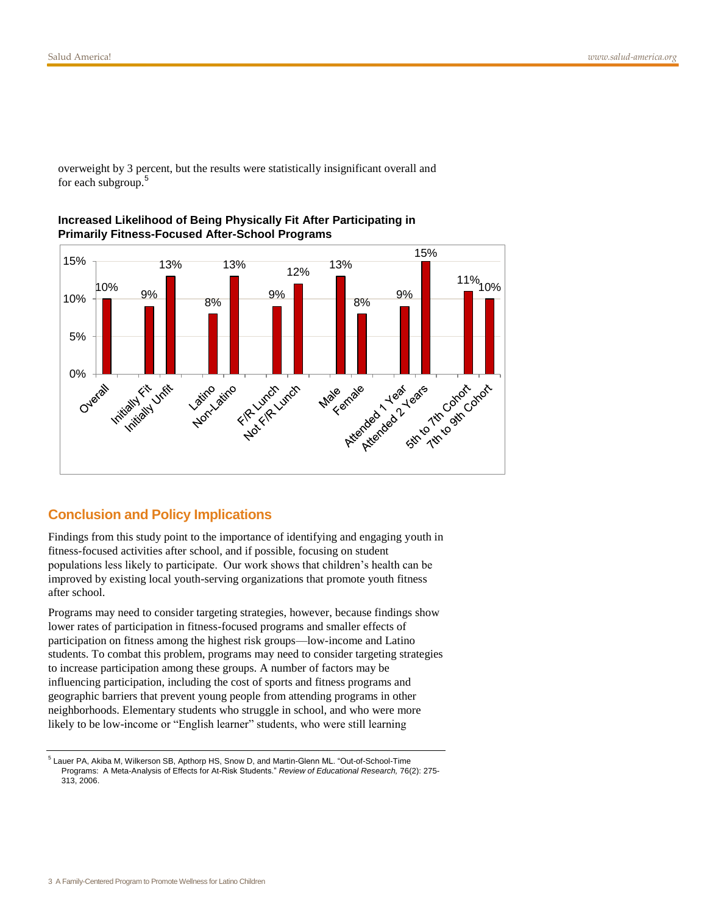overweight by 3 percent, but the results were statistically insignificant overall and for each subgroup.<sup>5</sup>



### **Increased Likelihood of Being Physically Fit After Participating in Primarily Fitness-Focused After-School Programs**

## **Conclusion and Policy Implications**

Findings from this study point to the importance of identifying and engaging youth in fitness-focused activities after school, and if possible, focusing on student populations less likely to participate. Our work shows that children's health can be improved by existing local youth-serving organizations that promote youth fitness after school.

Programs may need to consider targeting strategies, however, because findings show lower rates of participation in fitness-focused programs and smaller effects of participation on fitness among the highest risk groups—low-income and Latino students. To combat this problem, programs may need to consider targeting strategies to increase participation among these groups. A number of factors may be influencing participation, including the cost of sports and fitness programs and geographic barriers that prevent young people from attending programs in other neighborhoods. Elementary students who struggle in school, and who were more likely to be low-income or "English learner" students, who were still learning

<sup>5</sup> Lauer PA, Akiba M, Wilkerson SB, Apthorp HS, Snow D, and Martin-Glenn ML. "Out-of-School-Time Programs: A Meta-Analysis of Effects for At-Risk Students." *Review of Educational Research,* 76(2): 275- 313, 2006.